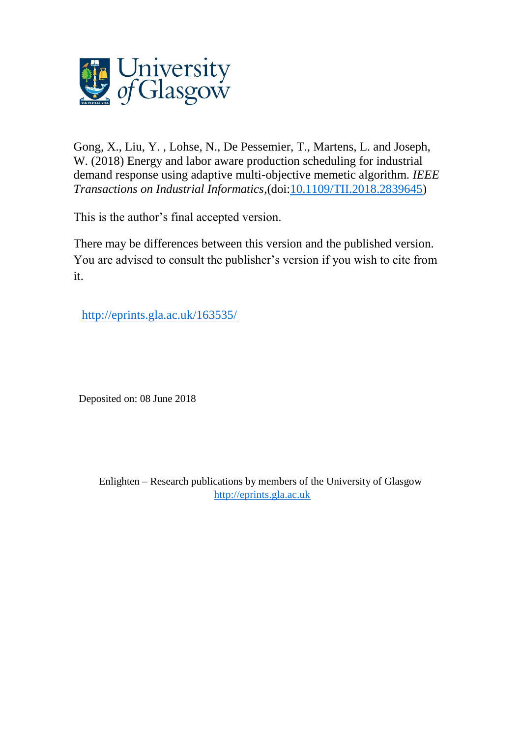

Gong, X., Liu, Y. , Lohse, N., De Pessemier, T., Martens, L. and Joseph, W. (2018) Energy and labor aware production scheduling for industrial demand response using adaptive multi-objective memetic algorithm. *IEEE Transactions on Industrial Informatics*,(doi[:10.1109/TII.2018.2839645\)](http://dx.doi.org/10.1109/TII.2018.2839645)

This is the author's final accepted version.

There may be differences between this version and the published version. You are advised to consult the publisher's version if you wish to cite from it.

<http://eprints.gla.ac.uk/163535/>

Deposited on: 08 June 2018

Enlighten – Research publications by members of the University of Glasgow [http://eprints.gla.ac.uk](http://eprints.gla.ac.uk/)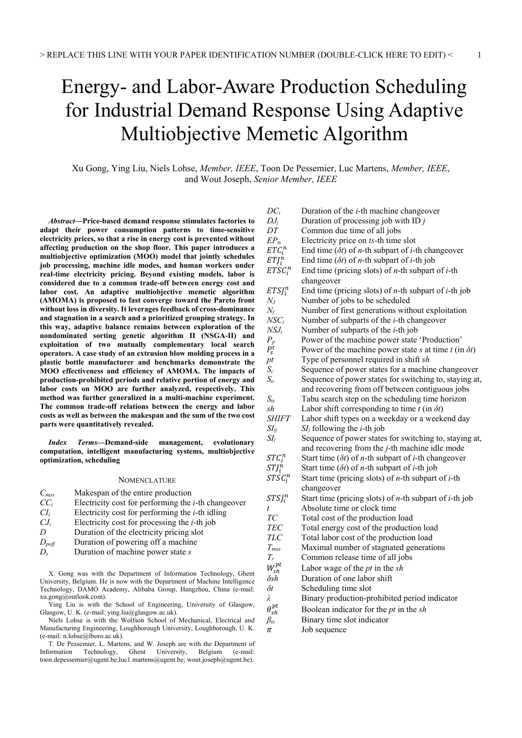# Energy- and Labor-Aware Production Scheduling for Industrial Demand Response Using Adaptive Multiobjective Memetic Algorithm

Xu Gong, Ying Liu, Niels Lohse, *Member, IEEE*, Toon De Pessemier, Luc Martens, *Member, IEEE*, and Wout Joseph, *Senior Member, IEEE*

*Abstract***—Price-based demand response stimulates factories to adapt their power consumption patterns to time-sensitive electricity prices, so that a rise in energy cost is prevented without affecting production on the shop floor. This paper introduces a multiobjective optimization (MOO) model that jointly schedules job processing, machine idle modes, and human workers under real-time electricity pricing. Beyond existing models, labor is considered due to a common trade-off between energy cost and labor cost. An adaptive multiobjective memetic algorithm (AMOMA) is proposed to fast converge toward the Pareto front without loss in diversity. It leverages feedback of cross-dominance and stagnation in a search and a prioritized grouping strategy. In this way, adaptive balance remains between exploration of the nondominated sorting genetic algorithm II (NSGA-II) and exploitation of two mutually complementary local search operators. A case study of an extrusion blow molding process in a plastic bottle manufacturer and benchmarks demonstrate the MOO effectiveness and efficiency of AMOMA. The impacts of production-prohibited periods and relative portion of energy and labor costs on MOO are further analyzed, respectively. This method was further generalized in a multi-machine experiment. The common trade-off relations between the energy and labor costs as well as between the makespan and the sum of the two cost parts were quantitatively revealed.** 

*Index Terms***—Demand-side management, evolutionary computation, intelligent manufacturing systems, multiobjective optimization, scheduling** 

# **NOMENCLATURE**

| $C_{max}$       | Makespan of the entire production                                                                                                               |
|-----------------|-------------------------------------------------------------------------------------------------------------------------------------------------|
| $CC_i$          | Electricity cost for performing the $i$ -th changeover                                                                                          |
| CI <sub>i</sub> | Electricity cost for performing the $i$ -th idling                                                                                              |
| $CJ_i$          | Electricity cost for processing the $i$ -th job                                                                                                 |
| D               | Duration of the electricity pricing slot                                                                                                        |
| $D_{\rm{poff}}$ | Duration of powering off a machine                                                                                                              |
| D.              | Duration of machine power state $s$                                                                                                             |
|                 |                                                                                                                                                 |
|                 | $\mathbf{V}$ . $\mathbf{C}$ and in the $\mathbf{C}$ defined in $\mathbf{C}$ . $\mathbf{C}$ is the contribution of $\mathbf{C}$ and $\mathbf{C}$ |

X. Gong was with the Department of Information Technology, Ghent University, Belgium. He is now with the Department of Machine Intelligence Technology, DAMO Academy, Alibaba Group, Hangzhou, China (e-mail: xu.gong@outlook.com).

Ying Liu is with the School of Engineering, University of Glasgow, Glasgow, U. K. (e-mail: ying.liu@glasgow.ac.uk).

Niels Lohse is with the Wolfson School of Mechanical, Electrical and Manufacturing Engineering, Loughborough University, Loughborough, U. K. (e-mail: n.lohse@lboro.ac.uk).

T. De Pessemier, L. Martens, and W. Joseph are with the Department of Information Technology, Ghent University, Belgium (e-mail: toon.depessemier@ugent.be;luc1.martens@ugent.be; wout.joseph@ugent.be).

| $DC_i$             |                                                                            |
|--------------------|----------------------------------------------------------------------------|
|                    | Duration of the <i>i</i> -th machine changeover                            |
| $DJ_i$             | Duration of processing job with $IDj$                                      |
| DT                 | Common due time of all jobs                                                |
| $EP_{ts}$          | Electricity price on ts-th time slot                                       |
| $ETC_i^n$          | End time $(\delta t)$ of <i>n</i> -th subpart of <i>i</i> -th changeover   |
| $ETJ_i^n$          | End time $(\delta t)$ of <i>n</i> -th subpart of <i>i</i> -th job          |
| $ETSC_i^n$         | End time (pricing slots) of $n$ -th subpart of $i$ -th                     |
|                    | changeover                                                                 |
| $ETSI_i^n$         | End time (pricing slots) of $n$ -th subpart of $i$ -th job                 |
| $N_J$              | Number of jobs to be scheduled                                             |
| $N_f$              | Number of first generations without exploitation                           |
| $NSC_i$            | Number of subparts of the <i>i</i> -th changeover                          |
| $NSJ_i$            | Number of subparts of the <i>i</i> -th job                                 |
| $P_p$              | Power of the machine power state 'Production'                              |
| $P_{S}^{t}$        | Power of the machine power state s at time $t$ (in $\delta t$ )            |
| p t                | Type of personnel required in shift sh                                     |
| $S_c$              | Sequence of power states for a machine changeover                          |
| S <sub>o</sub>     | Sequence of power states for switching to, staying at,                     |
|                    | and recovering from off between contiguous jobs                            |
| $S_{ts}$           | Tabu search step on the scheduling time horizon                            |
| sh                 | Labor shift corresponding to time $t$ (in $\delta t$ )                     |
| <i>SHIFT</i>       | Labor shift types on a weekday or a weekend day                            |
| $\mathop{SI_{ij}}$ | $SI_j$ following the <i>i</i> -th job                                      |
| $SI_i$             | Sequence of power states for switching to, staying at,                     |
|                    | and recovering from the $j$ -th machine idle mode                          |
| $STC_i^n$          | Start time $(\delta t)$ of <i>n</i> -th subpart of <i>i</i> -th changeover |
| $STJ_i^n$          | Start time $(\delta t)$ of <i>n</i> -th subpart of <i>i</i> -th job        |
| $STSC_i^n$         | Start time (pricing slots) of $n$ -th subpart of $i$ -th                   |
|                    | changeover                                                                 |
| $STSI_i^n$         | Start time (pricing slots) of $n$ -th subpart of $i$ -th job               |
| t                  | Absolute time or clock time                                                |
| ТC                 | Total cost of the production load                                          |
| <b>TEC</b>         | Total energy cost of the production load                                   |
| <b>TLC</b>         | Total labor cost of the production load                                    |
| $T_{max}$          | Maximal number of stagnated generations                                    |
| $T_r$              | Common release time of all jobs                                            |
| $W_{sh}^{pt}$      | Labor wage of the $pt$ in the $sh$                                         |
| $\delta sh$        | Duration of one labor shift                                                |
| $\delta t$         | Scheduling time slot                                                       |
| λ                  | Binary production-prohibited period indicator                              |
| $\theta^{pt}_{sh}$ | Boolean indicator for the $pt$ in the $sh$                                 |
| $\beta_{ts}$       | Binary time slot indicator                                                 |
| π                  | Job sequence                                                               |
|                    |                                                                            |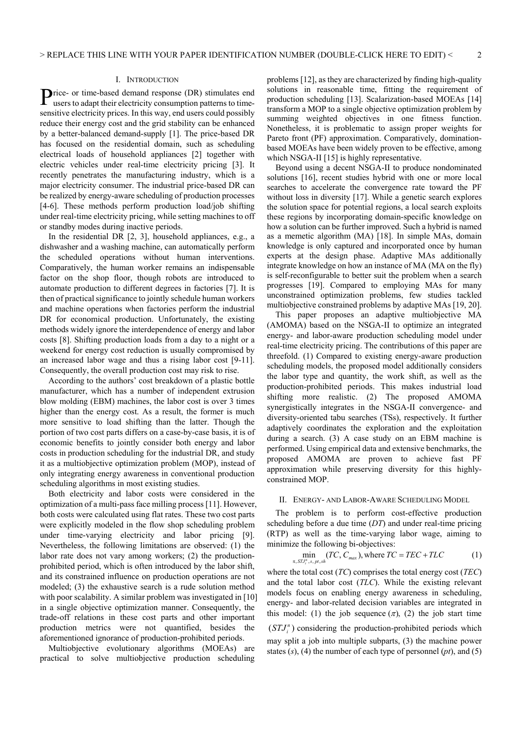# I. INTRODUCTION

rice- or time-based demand response (DR) stimulates end Price- or time-based demand response (DR) stimulates end<br>users to adapt their electricity consumption patterns to timesensitive electricity prices. In this way, end users could possibly reduce their energy cost and the grid stability can be enhanced by a better-balanced demand-supply [1]. The price-based DR has focused on the residential domain, such as scheduling electrical loads of household appliances [2] together with electric vehicles under real-time electricity pricing [3]. It recently penetrates the manufacturing industry, which is a major electricity consumer. The industrial price-based DR can be realized by energy-aware scheduling of production processes [4-6]. These methods perform production load/job shifting under real-time electricity pricing, while setting machines to off or standby modes during inactive periods.

In the residential DR [2, 3], household appliances, e.g., a dishwasher and a washing machine, can automatically perform the scheduled operations without human interventions. Comparatively, the human worker remains an indispensable factor on the shop floor, though robots are introduced to automate production to different degrees in factories [7]. It is then of practical significance to jointly schedule human workers and machine operations when factories perform the industrial DR for economical production. Unfortunately, the existing methods widely ignore the interdependence of energy and labor costs [8]. Shifting production loads from a day to a night or a weekend for energy cost reduction is usually compromised by an increased labor wage and thus a rising labor cost [9-11]. Consequently, the overall production cost may risk to rise.

According to the authors' cost breakdown of a plastic bottle manufacturer, which has a number of independent extrusion blow molding (EBM) machines, the labor cost is over 3 times higher than the energy cost. As a result, the former is much more sensitive to load shifting than the latter. Though the portion of two cost parts differs on a case-by-case basis, it is of economic benefits to jointly consider both energy and labor costs in production scheduling for the industrial DR, and study it as a multiobjective optimization problem (MOP), instead of only integrating energy awareness in conventional production scheduling algorithms in most existing studies.

Both electricity and labor costs were considered in the optimization of a multi-pass face milling process [11]. However, both costs were calculated using flat rates. These two cost parts were explicitly modeled in the flow shop scheduling problem under time-varying electricity and labor pricing [9]. Nevertheless, the following limitations are observed: (1) the labor rate does not vary among workers; (2) the productionprohibited period, which is often introduced by the labor shift, and its constrained influence on production operations are not modeled; (3) the exhaustive search is a rude solution method with poor scalability. A similar problem was investigated in [10] in a single objective optimization manner. Consequently, the trade-off relations in these cost parts and other important production metrics were not quantified, besides the aforementioned ignorance of production-prohibited periods.

Multiobjective evolutionary algorithms (MOEAs) are practical to solve multiobjective production scheduling problems [12], as they are characterized by finding high-quality solutions in reasonable time, fitting the requirement of production scheduling [13]. Scalarization-based MOEAs [14] transform a MOP to a single objective optimization problem by summing weighted objectives in one fitness function. Nonetheless, it is problematic to assign proper weights for Pareto front (PF) approximation. Comparatively, dominationbased MOEAs have been widely proven to be effective, among which NSGA-II [15] is highly representative.

Beyond using a decent NSGA-II to produce nondominated solutions [16], recent studies hybrid with one or more local searches to accelerate the convergence rate toward the PF without loss in diversity [17]. While a genetic search explores the solution space for potential regions, a local search exploits these regions by incorporating domain-specific knowledge on how a solution can be further improved. Such a hybrid is named as a memetic algorithm (MA) [18]. In simple MAs, domain knowledge is only captured and incorporated once by human experts at the design phase. Adaptive MAs additionally integrate knowledge on how an instance of MA (MA on the fly) is self-reconfigurable to better suit the problem when a search progresses [19]. Compared to employing MAs for many unconstrained optimization problems, few studies tackled multiobjective constrained problems by adaptive MAs [19, 20].

This paper proposes an adaptive multiobjective MA (AMOMA) based on the NSGA-II to optimize an integrated energy- and labor-aware production scheduling model under real-time electricity pricing. The contributions of this paper are threefold. (1) Compared to existing energy-aware production scheduling models, the proposed model additionally considers the labor type and quantity, the work shift, as well as the production-prohibited periods. This makes industrial load shifting more realistic. (2) The proposed AMOMA synergistically integrates in the NSGA-II convergence- and diversity-oriented tabu searches (TSs), respectively. It further adaptively coordinates the exploration and the exploitation during a search. (3) A case study on an EBM machine is performed. Using empirical data and extensive benchmarks, the proposed AMOMA are proven to achieve fast PF approximation while preserving diversity for this highlyconstrained MOP.

#### II. ENERGY- AND LABOR-AWARE SCHEDULING MODEL

The problem is to perform cost-effective production scheduling before a due time (*DT*) and under real-time pricing (RTP) as well as the time-varying labor wage, aiming to minimize the following bi-objectives:

$$
\min_{\pi, STJ_i^n, s, pt, sh} (TC, C_{max}), \text{where } TC = TEC + TLC \tag{1}
$$

where the total cost (*TC*) comprises the total energy cost (*TEC*) and the total labor cost (*TLC*). While the existing relevant models focus on enabling energy awareness in scheduling, energy- and labor-related decision variables are integrated in this model: (1) the job sequence  $(\pi)$ , (2) the job start time  $(STJ_i^n)$  considering the production-prohibited periods which may split a job into multiple subparts, (3) the machine power states (*s*), (4) the number of each type of personnel (*pt*), and (5)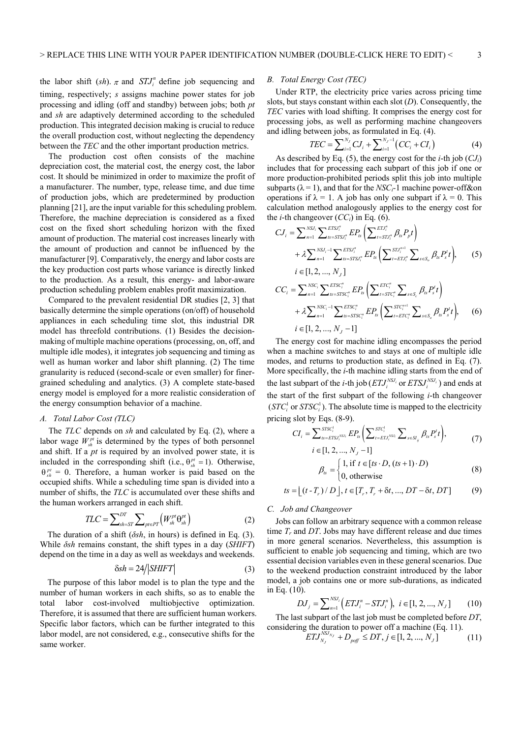the labor shift (*sh*).  $\pi$  and  $STJ_i^n$  define job sequencing and timing, respectively; *s* assigns machine power states for job processing and idling (off and standby) between jobs; both *pt* and *sh* are adaptively determined according to the scheduled production. This integrated decision making is crucial to reduce the overall production cost, without neglecting the dependency between the *TEC* and the other important production metrics.

The production cost often consists of the machine depreciation cost, the material cost, the energy cost, the labor cost. It should be minimized in order to maximize the profit of a manufacturer. The number, type, release time, and due time of production jobs, which are predetermined by production planning [21], are the input variable for this scheduling problem. Therefore, the machine depreciation is considered as a fixed cost on the fixed short scheduling horizon with the fixed amount of production. The material cost increases linearly with the amount of production and cannot be influenced by the manufacturer [9]. Comparatively, the energy and labor costs are the key production cost parts whose variance is directly linked to the production. As a result, this energy- and labor-aware production scheduling problem enables profit maximization.

Compared to the prevalent residential DR studies [2, 3] that basically determine the simple operations (on/off) of household appliances in each scheduling time slot, this industrial DR model has threefold contributions. (1) Besides the decisionmaking of multiple machine operations (processing, on, off, and multiple idle modes), it integrates job sequencing and timing as well as human worker and labor shift planning. (2) The time granularity is reduced (second-scale or even smaller) for finergrained scheduling and analytics. (3) A complete state-based energy model is employed for a more realistic consideration of the energy consumption behavior of a machine.

## *A. Total Labor Cost (TLC)*

The *TLC* depends on *sh* and calculated by Eq. (2), where a labor wage  $W_{\alpha h}^{\bar{p}i}$  is determined by the types of both personnel and shift. If a *pt* is required by an involved power state, it is included in the corresponding shift (i.e.,  $\theta_{sh}^{pt} = 1$ ). Otherwise,  $\theta_{sh}^{pt} = 0$ . Therefore, a human worker is paid based on the occupied shifts. While a scheduling time span is divided into a number of shifts, the *TLC* is accumulated over these shifts and the human workers arranged in each shift.

$$
TLC = \sum_{sh=ST}^{DT} \sum_{pt \in PT} \left( W_{sh}^{pt} \Theta_{sh}^{pt} \right) \tag{2}
$$

The duration of a shift (*δsh*, in hours) is defined in Eq. (3). While *δsh* remains constant, the shift types in a day (*SHIFT*) depend on the time in a day as well as weekdays and weekends.

$$
\delta sh = 24 \text{SHIFT} \tag{3}
$$

The purpose of this labor model is to plan the type and the number of human workers in each shifts, so as to enable the total labor cost-involved multiobjective optimization. Therefore, it is assumed that there are sufficient human workers. Specific labor factors, which can be further integrated to this labor model, are not considered, e.g., consecutive shifts for the same worker.

# *B. Total Energy Cost (TEC)*

Under RTP, the electricity price varies across pricing time slots, but stays constant within each slot (*D*). Consequently, the *TEC* varies with load shifting. It comprises the energy cost for processing jobs, as well as performing machine changeovers and idling between jobs, as formulated in Eq. (4).

$$
TEC = \sum_{i=1}^{N_J} CJ_i + \sum_{i=1}^{N_J-1} \left( CC_i + CI_i \right) \tag{4}
$$

As described by Eq. (5), the energy cost for the *i*-th job (*CJi*) includes that for processing each subpart of this job if one or more production-prohibited periods split this job into multiple subparts ( $\lambda = 1$ ), and that for the *NSC<sub>i</sub>*-1 machine power-off&on operations if  $\lambda = 1$ . A job has only one subpart if  $\lambda = 0$ . This calculation method analogously applies to the energy cost for the *i*-th changeover (*CCi*) in Eq. (6).

$$
CI_{i} = \sum_{n=1}^{NSJ_{i}} \sum_{ts=STSI_{i}^{n}} E P_{is} \left( \sum_{t=STJ_{i}^{n}}^{ETS_{i}^{n}} \beta_{ts} P_{p} t \right)
$$
  
+  $\lambda \sum_{n=1}^{NSJ_{i}-1} \sum_{ts=STSI_{i}^{n}}^{ETSI_{i}^{n}} E P_{is} \left( \sum_{t=ETJ_{i}^{n}}^{STJ_{i}^{n+1}} \sum_{s \in S_{s}} \beta_{ts} P_{s}^{t} t \right),$  (5)  
 $i \in [1, 2, ..., N_{J}]$   

$$
CC_{i} = \sum_{n=1}^{NSC_{i}} \sum_{ts=STSC_{i}^{n}}^{ETSC_{i}^{n}} E P_{is} \left( \sum_{t=STC_{i}^{n}}^{ETC_{i}^{n}} \sum_{s \in S_{c}} \beta_{ts} P_{s}^{t} t \right)
$$
  
+  $\lambda \sum_{n=1}^{NSC_{i}-1} \sum_{ts=STSC_{i}^{n}}^{ETSC_{i}^{n}} E P_{is} \left( \sum_{t=ETC_{i}^{n}}^{STC_{i}^{n+1}} \sum_{s \in S_{s}} \beta_{ts} P_{s}^{t} t \right),$  (6)  
 $i \in [1, 2, ..., N_{J} - 1]$ 

The energy cost for machine idling encompasses the period when a machine switches to and stays at one of multiple idle modes, and returns to production state, as defined in Eq. (7). More specifically, the *i*-th machine idling starts from the end of the last subpart of the *i*-th job  $(ETJ_i^{NSJ_i} \text{ or } ETSJ_i^{NSJ_i})$  and ends at the start of the first subpart of the following *i*-th changeover  $(STC<sub>i</sub><sup>1</sup>$  or  $STSC<sub>i</sub><sup>1</sup>$ ). The absolute time is mapped to the electricity pricing slot by Eqs. (8-9).

$$
CI_{i} = \sum_{\mu_{s} = ETSI_{i}^{NSU_{i}}}^{STSC_{i}^{1}} EP_{\mu} \left( \sum_{t = ETSI_{i}^{NSU_{i}}}^{STC_{i}^{1}} \sum_{s \in SI_{ij}} \beta_{ts} P_{s}^{t} t \right),
$$
  
  $i \in [1, 2, ..., N_{J} - 1]$  (7)

$$
\beta_{ts} = \begin{cases} 1, & \text{if } t \in [ts \cdot D, (ts+1) \cdot D) \\ 0, & \text{otherwise} \end{cases}
$$
 (8)

$$
ts = \lfloor (t - T_r) / D \rfloor, t \in [T_r, T_r + \delta t, ..., DT - \delta t, DT] \tag{9}
$$

#### *C. Job and Changeover*

Jobs can follow an arbitrary sequence with a common release time  $T_r$  and  $DT$ . Jobs may have different release and due times in more general scenarios. Nevertheless, this assumption is sufficient to enable job sequencing and timing, which are two essential decision variables even in these general scenarios. Due to the weekend production constraint introduced by the labor model, a job contains one or more sub-durations, as indicated in Eq. (10).

$$
DJ_j = \sum_{n=1}^{NSJ_i} \left( ETJ_i^n - STJ_i^n \right), \ i \in [1, 2, ..., N_J] \tag{10}
$$

The last subpart of the last job must be completed before *DT*, considering the duration to power off a machine (Eq. 11).

$$
ETJ_{N_J}^{NSJ_{N_J}} + D_{\text{perf}} \le DT, j \in [1, 2, ..., N_J]
$$
 (11)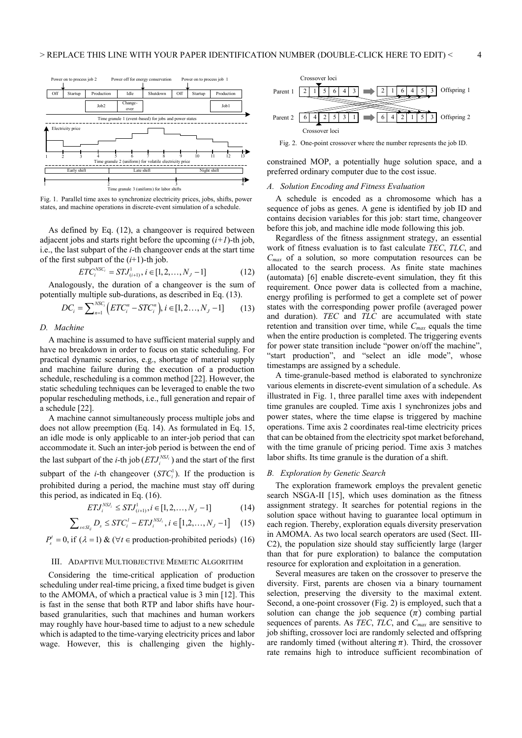

Fig. 1. Parallel time axes to synchronize electricity prices, jobs, shifts, power states, and machine operations in discrete-event simulation of a schedule.

As defined by Eq. (12), a changeover is required between adjacent jobs and starts right before the upcoming  $(i+1)$ -th job, i.e., the last subpart of the *i*-th changeover ends at the start time of the first subpart of the (*i*+1)-th job.

$$
ETC_i^{NSC_i} = STJ_{(i+1)}^1, i \in [1, 2, \dots, N_J - 1]
$$
 (12)

Analogously, the duration of a changeover is the sum of potentially multiple sub-durations, as described in Eq. (13).

$$
DC_i = \sum_{n=1}^{NSC_i} \left( ETC_i^n - STC_i^n \right), i \in [1, 2..., N_J - 1] \tag{13}
$$

## *D. Machine*

A machine is assumed to have sufficient material supply and have no breakdown in order to focus on static scheduling. For practical dynamic scenarios, e.g., shortage of material supply and machine failure during the execution of a production schedule, rescheduling is a common method [22]. However, the static scheduling techniques can be leveraged to enable the two popular rescheduling methods, i.e., full generation and repair of a schedule [22].

A machine cannot simultaneously process multiple jobs and does not allow preemption (Eq. 14). As formulated in Eq. 15, an idle mode is only applicable to an inter-job period that can accommodate it. Such an inter-job period is between the end of the last subpart of the *i*-th job  $(ETJ<sub>i</sub><sup>NSJ<sub>i</sub></sup>)$  and the start of the first subpart of the *i*-th changeover  $(STC_i^1)$ . If the production is prohibited during a period, the machine must stay off during this period, as indicated in Eq. (16). 1

$$
ETJ_i^{NSJ_i} \leq STJ_{(i+1)}^1, i \in [1, 2, \dots, N_J - 1]
$$
 (14)

$$
\sum_{s \in SI_{ij}} D_s \leq STC_i^{\,l} - ETJ_i^{NSJ_i}, i \in [1, 2, \dots, N_J - 1] \tag{15}
$$

$$
P_s^t = 0
$$
, if  $(\lambda = 1) \& (\forall t \in production-prohibited periods)$  (16)

## III. ADAPTIVE MULTIOBJECTIVE MEMETIC ALGORITHM

Considering the time-critical application of production scheduling under real-time pricing, a fixed time budget is given to the AMOMA, of which a practical value is 3 min [12]. This is fast in the sense that both RTP and labor shifts have hourbased granularities, such that machines and human workers may roughly have hour-based time to adjust to a new schedule which is adapted to the time-varying electricity prices and labor wage. However, this is challenging given the highly-



Fig. 2. One-point crossover where the number represents the job ID.

constrained MOP, a potentially huge solution space, and a preferred ordinary computer due to the cost issue.

## *A. Solution Encoding and Fitness Evaluation*

A schedule is encoded as a chromosome which has a sequence of jobs as genes. A gene is identified by job ID and contains decision variables for this job: start time, changeover before this job, and machine idle mode following this job.

Regardless of the fitness assignment strategy, an essential work of fitness evaluation is to fast calculate *TEC*, *TLC*, and *Cmax* of a solution, so more computation resources can be allocated to the search process. As finite state machines (automata) [6] enable discrete-event simulation, they fit this requirement. Once power data is collected from a machine, energy profiling is performed to get a complete set of power states with the corresponding power profile (averaged power and duration). *TEC* and *TLC* are accumulated with state retention and transition over time, while *Cmax* equals the time when the entire production is completed. The triggering events for power state transition include "power on/off the machine", "start production", and "select an idle mode", whose timestamps are assigned by a schedule.

A time-granule-based method is elaborated to synchronize various elements in discrete-event simulation of a schedule. As illustrated in Fig. 1, three parallel time axes with independent time granules are coupled. Time axis 1 synchronizes jobs and power states, where the time elapse is triggered by machine operations. Time axis 2 coordinates real-time electricity prices that can be obtained from the electricity spot market beforehand, with the time granule of pricing period. Time axis 3 matches labor shifts. Its time granule is the duration of a shift.

# *B. Exploration by Genetic Search*

The exploration framework employs the prevalent genetic search NSGA-II [15], which uses domination as the fitness assignment strategy. It searches for potential regions in the solution space without having to guarantee local optimum in each region. Thereby, exploration equals diversity preservation in AMOMA. As two local search operators are used (Sect. III-C2), the population size should stay sufficiently large (larger than that for pure exploration) to balance the computation resource for exploration and exploitation in a generation.

Several measures are taken on the crossover to preserve the diversity. First, parents are chosen via a binary tournament selection, preserving the diversity to the maximal extent. Second, a one-point crossover (Fig. 2) is employed, such that a solution can change the job sequence  $(\pi)$  combing partial sequences of parents. As *TEC*, *TLC*, and *Cmax* are sensitive to job shifting, crossover loci are randomly selected and offspring are randomly timed (without altering  $\pi$ ). Third, the crossover rate remains high to introduce sufficient recombination of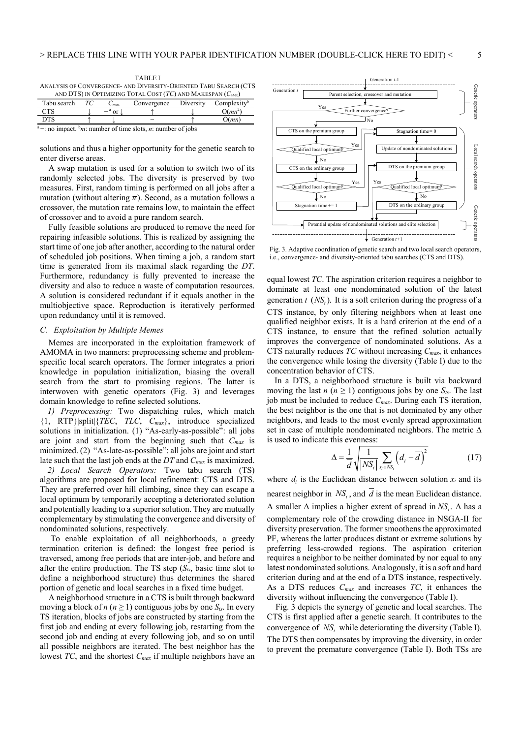|                                                                   |  |  | <b>TABLEI</b>                                                    |  |  |  |
|-------------------------------------------------------------------|--|--|------------------------------------------------------------------|--|--|--|
|                                                                   |  |  | ANALYSIS OF CONVERGENCE- AND DIVERSITY-ORIENTED TABU SEARCH (CTS |  |  |  |
| AND DTS) IN OPTIMIZING TOTAL COST $(TC)$ AND MAKESPAN $(C_{MAX})$ |  |  |                                                                  |  |  |  |
| Tabu search TC                                                    |  |  | $C_{max}$ Convergence Diversity Complexity <sup>b</sup>          |  |  |  |

CTS  $\downarrow$   $-{}^{a}$  or  $\downarrow$   $\uparrow$   $\downarrow$   $O(mn^{2})$ )

DTS ↑ ↓ <sup>–</sup> ↑ O(*mn*)<br><sup>a</sup> –: no impact. <sup>b</sup>*m*: number of time slots, *n*: number of jobs

solutions and thus a higher opportunity for the genetic search to enter diverse areas.

A swap mutation is used for a solution to switch two of its randomly selected jobs. The diversity is preserved by two measures. First, random timing is performed on all jobs after a mutation (without altering  $\pi$ ). Second, as a mutation follows a crossover, the mutation rate remains low, to maintain the effect of crossover and to avoid a pure random search.

Fully feasible solutions are produced to remove the need for repairing infeasible solutions. This is realized by assigning the start time of one job after another, according to the natural order of scheduled job positions. When timing a job, a random start time is generated from its maximal slack regarding the *DT*. Furthermore, redundancy is fully prevented to increase the diversity and also to reduce a waste of computation resources. A solution is considered redundant if it equals another in the multiobjective space. Reproduction is iteratively performed upon redundancy until it is removed.

## *C. Exploitation by Multiple Memes*

Memes are incorporated in the exploitation framework of AMOMA in two manners: preprocessing scheme and problemspecific local search operators. The former integrates a priori knowledge in population initialization, biasing the overall search from the start to promising regions. The latter is interwoven with genetic operators (Fig. 3) and leverages domain knowledge to refine selected solutions.

*1) Preprocessing:* Two dispatching rules, which match {1, RTP}|split|{*TEC*, *TLC*, *Cmax*}, introduce specialized solutions in initialization. (1) "As-early-as-possible": all jobs are joint and start from the beginning such that *Cmax* is minimized. (2) "As-late-as-possible": all jobs are joint and start late such that the last job ends at the *DT* and *Cmax* is maximized.

*2) Local Search Operators:* Two tabu search (TS) algorithms are proposed for local refinement: CTS and DTS. They are preferred over hill climbing, since they can escape a local optimum by temporarily accepting a deteriorated solution and potentially leading to a superior solution. They are mutually complementary by stimulating the convergence and diversity of nondominated solutions, respectively.

 To enable exploitation of all neighborhoods, a greedy termination criterion is defined: the longest free period is traversed, among free periods that are inter-job, and before and after the entire production. The TS step  $(S_{ts}, \text{basic time slot to})$ define a neighborhood structure) thus determines the shared portion of genetic and local searches in a fixed time budget.

A neighborhood structure in a CTS is built through backward moving a block of  $n (n \ge 1)$  contiguous jobs by one  $S_{ts}$ . In every TS iteration, blocks of jobs are constructed by starting from the first job and ending at every following job, restarting from the second job and ending at every following job, and so on until all possible neighbors are iterated. The best neighbor has the lowest *TC*, and the shortest *Cmax* if multiple neighbors have an



Fig. 3. Adaptive coordination of genetic search and two local search operators, i.e., convergence- and diversity-oriented tabu searches (CTS and DTS).

equal lowest *TC*. The aspiration criterion requires a neighbor to dominate at least one nondominated solution of the latest generation  $t$  ( $NS<sub>t</sub>$ ). It is a soft criterion during the progress of a CTS instance, by only filtering neighbors when at least one qualified neighbor exists. It is a hard criterion at the end of a CTS instance, to ensure that the refined solution actually improves the convergence of nondominated solutions. As a CTS naturally reduces *TC* without increasing *Cmax*, it enhances the convergence while losing the diversity (Table I) due to the concentration behavior of CTS.

In a DTS, a neighborhood structure is built via backward moving the last  $n (n \geq 1)$  contiguous jobs by one  $S_{ts}$ . The last job must be included to reduce *Cmax*. During each TS iteration, the best neighbor is the one that is not dominated by any other neighbors, and leads to the most evenly spread approximation set in case of multiple nondominated neighbors. The metric  $\Delta$ is used to indicate this evenness:

$$
\Delta = \frac{1}{d} \sqrt{\frac{1}{|NS_t|} \sum_{x_i \in NS_t} (d_i - \overline{d})^2}
$$
 (17)

where  $d_i$  is the Euclidean distance between solution  $x_i$  and its nearest neighbor in *NS*, and  $\overline{d}$  is the mean Euclidean distance. A smaller  $\Delta$  implies a higher extent of spread in NS.  $\Delta$  has a complementary role of the crowding distance in NSGA-II for diversity preservation. The former smoothens the approximated PF, whereas the latter produces distant or extreme solutions by preferring less-crowded regions. The aspiration criterion requires a neighbor to be neither dominated by nor equal to any latest nondominated solutions. Analogously, it is a soft and hard criterion during and at the end of a DTS instance, respectively. As a DTS reduces *Cmax* and increases *TC*, it enhances the diversity without influencing the convergence (Table I).

Fig. 3 depicts the synergy of genetic and local searches. The CTS is first applied after a genetic search. It contributes to the convergence of *NS*, while deteriorating the diversity (Table I). The DTS then compensates by improving the diversity, in order to prevent the premature convergence (Table I). Both TSs are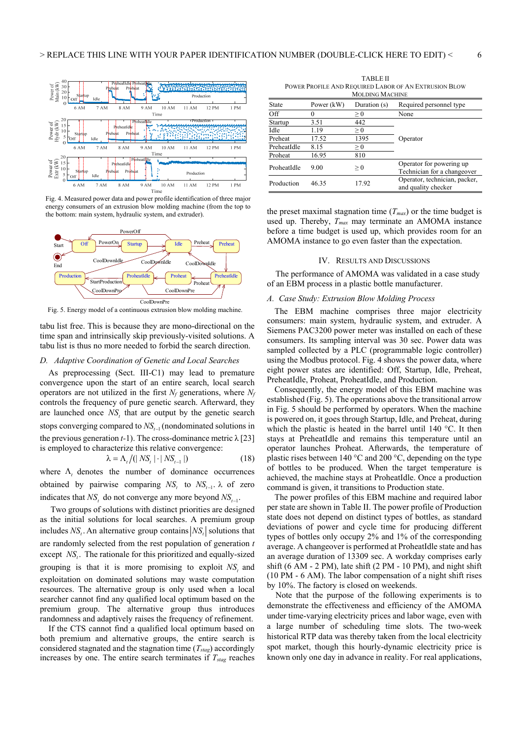

Fig. 4. Measured power data and power profile identification of three major energy consumers of an extrusion blow molding machine (from the top to the bottom: main system, hydraulic system, and extruder).



Fig. 5. Energy model of a continuous extrusion blow molding machine.

tabu list free. This is because they are mono-directional on the time span and intrinsically skip previously-visited solutions. A tabu list is thus no more needed to forbid the search direction.

#### *D. Adaptive Coordination of Genetic and Local Searches*

As preprocessing (Sect. III-C1) may lead to premature convergence upon the start of an entire search, local search operators are not utilized in the first  $N_f$  generations, where  $N_f$ controls the frequency of pure genetic search. Afterward, they are launched once *NS*, that are output by the genetic search stops converging compared to  $NS_{t-1}$  (nondominated solutions in the previous generation *t-*1). The cross-dominance metric λ [23] is employed to characterize this relative convergence:

$$
\lambda = \Lambda_t / (|NS_t| \cdot |NS_{t-1}|) \tag{18}
$$

where  $\Lambda$ , denotes the number of dominance occurrences obtained by pairwise comparing  $NS_t$  to  $NS_{t-1}$ .  $\lambda$  of zero indicates that  $NS<sub>t</sub>$  do not converge any more beyond  $NS<sub>t-1</sub>$ .

 Two groups of solutions with distinct priorities are designed as the initial solutions for local searches. A premium group includes  $NS_t$ . An alternative group contains  $|NS_t|$  solutions that are randomly selected from the rest population of generation *t* except NS. The rationale for this prioritized and equally-sized grouping is that it is more promising to exploit NS, and exploitation on dominated solutions may waste computation resources. The alternative group is only used when a local searcher cannot find any qualified local optimum based on the premium group. The alternative group thus introduces randomness and adaptively raises the frequency of refinement.

If the CTS cannot find a qualified local optimum based on both premium and alternative groups, the entire search is considered stagnated and the stagnation time  $(T_{stag})$  accordingly increases by one. The entire search terminates if  $T_{stag}$  reaches

TABLE II POWER PROFILE AND REQUIRED LABOR OF AN EXTRUSION BLOW

| <b>MOLDING MACHINE</b> |              |                |                                                         |  |  |
|------------------------|--------------|----------------|---------------------------------------------------------|--|--|
| State                  | Power $(kW)$ | Duration $(s)$ | Required personnel type                                 |  |  |
| Off                    |              | $\geq 0$       | None                                                    |  |  |
| Startup                | 3.51         | 442            |                                                         |  |  |
| Idle                   | 1.19         | $\geq 0$       |                                                         |  |  |
| Preheat                | 17.52        | 1395           | Operator                                                |  |  |
| PreheatIdle            | 8.15         | $\geq 0$       |                                                         |  |  |
| Proheat                | 16.95        | 810            |                                                         |  |  |
| ProheatIdle            | 9.00         | $\geq 0$       | Operator for powering up<br>Technician for a changeover |  |  |
| Production             | 46.35        | 17.92          | Operator, technician, packer,<br>and quality checker    |  |  |

the preset maximal stagnation time  $(T_{max})$  or the time budget is used up. Thereby,  $T_{max}$  may terminate an AMOMA instance before a time budget is used up, which provides room for an AMOMA instance to go even faster than the expectation.

#### IV. RESULTS AND DISCUSSIONS

The performance of AMOMA was validated in a case study of an EBM process in a plastic bottle manufacturer.

#### *A. Case Study: Extrusion Blow Molding Process*

The EBM machine comprises three major electricity consumers: main system, hydraulic system, and extruder. A Siemens PAC3200 power meter was installed on each of these consumers. Its sampling interval was 30 sec. Power data was sampled collected by a PLC (programmable logic controller) using the Modbus protocol. Fig. 4 shows the power data, where eight power states are identified: Off, Startup, Idle, Preheat, PreheatIdle, Proheat, ProheatIdle, and Production.

Consequently, the energy model of this EBM machine was established (Fig. 5). The operations above the transitional arrow in Fig. 5 should be performed by operators. When the machine is powered on, it goes through Startup, Idle, and Preheat, during which the plastic is heated in the barrel until 140 °C. It then stays at PreheatIdle and remains this temperature until an operator launches Proheat. Afterwards, the temperature of plastic rises between 140 °C and 200 °C, depending on the type of bottles to be produced. When the target temperature is achieved, the machine stays at ProheatIdle. Once a production command is given, it transitions to Production state.

The power profiles of this EBM machine and required labor per state are shown in Table II. The power profile of Production state does not depend on distinct types of bottles, as standard deviations of power and cycle time for producing different types of bottles only occupy 2% and 1% of the corresponding average. A changeover is performed at ProheatIdle state and has an average duration of 13309 sec. A workday comprises early shift (6 AM - 2 PM), late shift (2 PM - 10 PM), and night shift (10 PM - 6 AM). The labor compensation of a night shift rises by 10%. The factory is closed on weekends.

Note that the purpose of the following experiments is to demonstrate the effectiveness and efficiency of the AMOMA under time-varying electricity prices and labor wage, even with a large number of scheduling time slots. The two-week historical RTP data was thereby taken from the local electricity spot market, though this hourly-dynamic electricity price is known only one day in advance in reality. For real applications,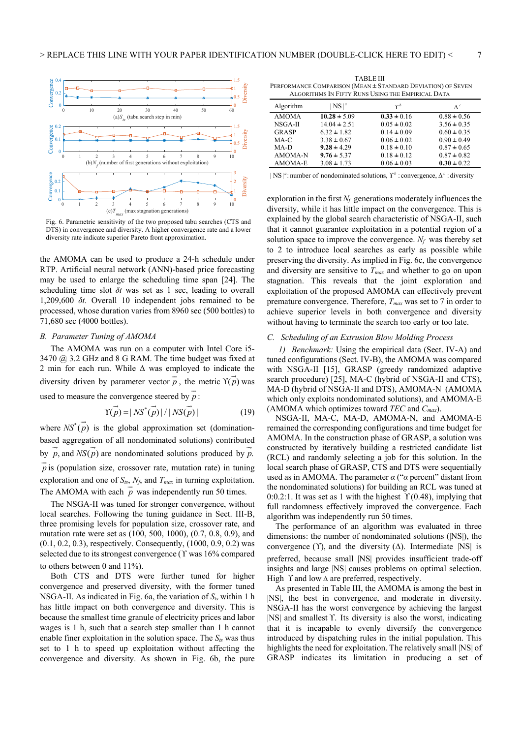

Fig. 6. Parametric sensitivity of the two proposed tabu searches (CTS and DTS) in convergence and diversity. A higher convergence rate and a lower diversity rate indicate superior Pareto front approximation.

the AMOMA can be used to produce a 24-h schedule under RTP. Artificial neural network (ANN)-based price forecasting may be used to enlarge the scheduling time span [24]. The scheduling time slot *δt* was set as 1 sec, leading to overall 1,209,600 *δt*. Overall 10 independent jobs remained to be processed, whose duration varies from 8960 sec (500 bottles) to 71,680 sec (4000 bottles).

### *B. Parameter Tuning of AMOMA*

 The AMOMA was run on a computer with Intel Core i5- 3470 @ 3.2 GHz and 8 G RAM. The time budget was fixed at 2 min for each run. While  $\Delta$  was employed to indicate the diversity driven by parameter vector  $\vec{p}$ , the metric  $\hat{\Gamma}(\vec{p})$  was used to measure the convergence steered by *p*  $\overline{\phantom{a}}$ :

$$
\overrightarrow{\mathrm{T}(\overrightarrow{p})} = |NS^*(\overrightarrow{p})| / |NS(\overrightarrow{p})|
$$
 (19)

where  $NS^*(\vec{p})$  is the global approximation set (dominationbased aggregation of all nondominated solutions) contributed  $\overrightarrow{a}$ by  $\vec{p}$ , and *NS*( $\vec{p}$ ) are nondominated solutions produced by  $\vec{p}$ . *p*  $\tilde{=}$ is (population size, crossover rate, mutation rate) in tuning exploration and one of  $S_{ts}$ ,  $N_f$ , and  $T_{max}$  in turning exploitation. The AMOMA with each  $p$  was independently run 50 times.

 The NSGA-II was tuned for stronger convergence, without local searches. Following the tuning guidance in Sect. III-B, three promising levels for population size, crossover rate, and mutation rate were set as (100, 500, 1000), (0.7, 0.8, 0.9), and (0.1, 0.2, 0.3), respectively. Consequently, (1000, 0.9, 0.2) was selected due to its strongest convergence  $($  $\Upsilon$  was 16% compared to others between 0 and 11%).

 Both CTS and DTS were further tuned for higher convergence and preserved diversity, with the former tuned NSGA-II. As indicated in Fig. 6a, the variation of  $S_{ts}$  within 1 h has little impact on both convergence and diversity. This is because the smallest time granule of electricity prices and labor wages is 1 h, such that a search step smaller than 1 h cannot enable finer exploitation in the solution space. The  $S_{ts}$  was thus set to 1 h to speed up exploitation without affecting the convergence and diversity. As shown in Fig. 6b, the pure

TABLE III PERFORMANCE COMPARISON (MEAN **±** STANDARD DEVIATION) OF SEVEN ALGORITHMS IN FIFTY RUNS USING THE EMPIRICAL DATA

| ALUUNIIIIMIS IN I II I I INUNS USINU IIIL LIMI INICAL DATA |                  |                 |                 |  |  |
|------------------------------------------------------------|------------------|-----------------|-----------------|--|--|
| Algorithm                                                  | $NS ^{a}$        | $\mathbf{v}^b$  | $\Lambda^c$     |  |  |
| <b>AMOMA</b>                                               | $10.28 \pm 5.09$ | $0.33 \pm 0.16$ | $0.88 \pm 0.56$ |  |  |
| NSGA-II                                                    | $14.04 \pm 2.51$ | $0.05 \pm 0.02$ | $3.56 \pm 0.35$ |  |  |
| GRASP                                                      | $6.32 \pm 1.82$  | $0.14 \pm 0.09$ | $0.60 \pm 0.35$ |  |  |
| MA-C                                                       | $3.38 \pm 0.67$  | $0.06 \pm 0.02$ | $0.90 \pm 0.49$ |  |  |
| $MA-D$                                                     | $9.28 \pm 4.29$  | $0.18 \pm 0.10$ | $0.87 \pm 0.65$ |  |  |
| AMOMA-N                                                    | $9.76 \pm 5.37$  | $0.18 \pm 0.12$ | $0.87 \pm 0.82$ |  |  |
| AMOMA-E                                                    | $3.08 \pm 1.73$  | $0.06 \pm 0.03$ | $0.30 \pm 0.22$ |  |  |

 $|NS|^a$ : number of nondominated solutions,  $\Upsilon^b$ : convergence,  $\Delta^c$ : diversity

exploration in the first  $N_f$  generations moderately influences the diversity, while it has little impact on the convergence. This is explained by the global search characteristic of NSGA-II, such that it cannot guarantee exploitation in a potential region of a solution space to improve the convergence.  $N_f$  was thereby set to 2 to introduce local searches as early as possible while preserving the diversity. As implied in Fig. 6c, the convergence and diversity are sensitive to *Tmax* and whether to go on upon stagnation. This reveals that the joint exploration and exploitation of the proposed AMOMA can effectively prevent premature convergence. Therefore, *Tmax* was set to 7 in order to achieve superior levels in both convergence and diversity without having to terminate the search too early or too late.

### *C. Scheduling of an Extrusion Blow Molding Process*

*1) Benchmark:* Using the empirical data (Sect. IV-A) and tuned configurations (Sect. IV-B), the AMOMA was compared with NSGA-II [15], GRASP (greedy randomized adaptive search procedure) [25], MA-C (hybrid of NSGA-II and CTS), MA-D (hybrid of NSGA-II and DTS), AMOMA-N (AMOMA which only exploits nondominated solutions), and AMOMA-E (AMOMA which optimizes toward *TEC* and *Cmax*).

NSGA-II, MA-C, MA-D, AMOMA-N, and AMOMA-E remained the corresponding configurations and time budget for AMOMA. In the construction phase of GRASP, a solution was constructed by iteratively building a restricted candidate list (RCL) and randomly selecting a job for this solution. In the local search phase of GRASP, CTS and DTS were sequentially used as in AMOMA. The parameter *α* ("*α* percent" distant from the nondominated solutions) for building an RCL was tuned at 0:0.2:1. It was set as 1 with the highest  $\Upsilon$  (0.48), implying that full randomness effectively improved the convergence. Each algorithm was independently run 50 times.

The performance of an algorithm was evaluated in three dimensions: the number of nondominated solutions (|NS|), the convergence ( $\Upsilon$ ), and the diversity ( $\Delta$ ). Intermediate |NS| is preferred, because small |NS| provides insufficient trade-off insights and large |NS| causes problems on optimal selection. High  $\Upsilon$  and low  $\Delta$  are preferred, respectively.

As presented in Table III, the AMOMA is among the best in |NS|, the best in convergence, and moderate in diversity. NSGA-II has the worst convergence by achieving the largest |NS| and smallest Y. Its diversity is also the worst, indicating that it is incapable to evenly diversify the convergence introduced by dispatching rules in the initial population. This highlights the need for exploitation. The relatively small  $|NS|$  of GRASP indicates its limitation in producing a set of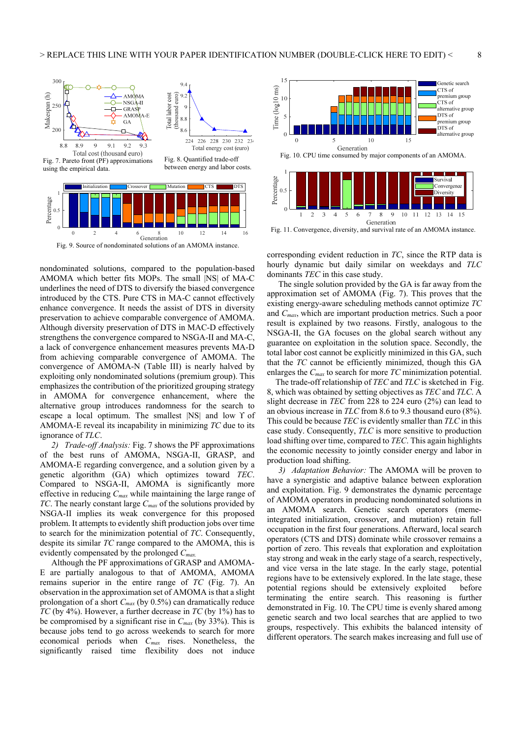



0

0 2 4 6 8 10 12 14 16

nondominated solutions, compared to the population-based AMOMA which better fits MOPs. The small |NS| of MA-C underlines the need of DTS to diversify the biased convergence introduced by the CTS. Pure CTS in MA-C cannot effectively enhance convergence. It needs the assist of DTS in diversity preservation to achieve comparable convergence of AMOMA. Although diversity preservation of DTS in MAC-D effectively strengthens the convergence compared to NSGA-II and MA-C, a lack of convergence enhancement measures prevents MA-D from achieving comparable convergence of AMOMA. The convergence of AMOMA-N (Table III) is nearly halved by exploiting only nondominated solutions (premium group). This emphasizes the contribution of the prioritized grouping strategy in AMOMA for convergence enhancement, where the alternative group introduces randomness for the search to escape a local optimum. The smallest  $|NS|$  and low  $\Upsilon$  of AMOMA-E reveal its incapability in minimizing *TC* due to its ignorance of *TLC*.

*2) Trade-off Analysis:* Fig. 7 shows the PF approximations of the best runs of AMOMA, NSGA-II, GRASP, and AMOMA-E regarding convergence, and a solution given by a genetic algorithm (GA) which optimizes toward *TEC*. Compared to NSGA-II, AMOMA is significantly more effective in reducing *Cmax* while maintaining the large range of *TC*. The nearly constant large *Cmax* of the solutions provided by NSGA-II implies its weak convergence for this proposed problem. It attempts to evidently shift production jobs over time to search for the minimization potential of *TC*. Consequently, despite its similar *TC* range compared to the AMOMA, this is evidently compensated by the prolonged *Cmax.*

Although the PF approximations of GRASP and AMOMA-E are partially analogous to that of AMOMA, AMOMA remains superior in the entire range of *TC* (Fig. 7). An observation in the approximation set of AMOMA is that a slight prolongation of a short *Cmax* (by 0.5%) can dramatically reduce *TC* (by 4%). However, a further decrease in *TC* (by 1%) has to be compromised by a significant rise in *Cmax* (by 33%). This is because jobs tend to go across weekends to search for more economical periods when *Cmax* rises. Nonetheless, the significantly raised time flexibility does not induce



Fig. 11. Convergence, diversity, and survival rate of an AMOMA instance.

corresponding evident reduction in *TC*, since the RTP data is hourly dynamic but daily similar on weekdays and *TLC* dominants *TEC* in this case study.

The single solution provided by the GA is far away from the approximation set of AMOMA (Fig. 7). This proves that the existing energy-aware scheduling methods cannot optimize *TC* and *Cmax*, which are important production metrics. Such a poor result is explained by two reasons. Firstly, analogous to the NSGA-II, the GA focuses on the global search without any guarantee on exploitation in the solution space. Secondly, the total labor cost cannot be explicitly minimized in this GA, such that the *TC* cannot be efficiently minimized, though this GA enlarges the *Cmax* to search for more *TC* minimization potential.

The trade-off relationship of *TEC* and *TLC* is sketched in Fig. 8, which was obtained by setting objectives as *TEC* and *TLC*. A slight decrease in *TEC* from 228 to 224 euro (2%) can lead to an obvious increase in *TLC* from 8.6 to 9.3 thousand euro (8%). This could be because *TEC* is evidently smaller than *TLC* in this case study. Consequently, *TLC* is more sensitive to production load shifting over time, compared to *TEC*. This again highlights the economic necessity to jointly consider energy and labor in production load shifting.

*3) Adaptation Behavior:* The AMOMA will be proven to have a synergistic and adaptive balance between exploration and exploitation. Fig. 9 demonstrates the dynamic percentage of AMOMA operators in producing nondominated solutions in an AMOMA search. Genetic search operators (memeintegrated initialization, crossover, and mutation) retain full occupation in the first four generations. Afterward, local search operators (CTS and DTS) dominate while crossover remains a portion of zero. This reveals that exploration and exploitation stay strong and weak in the early stage of a search, respectively, and vice versa in the late stage. In the early stage, potential regions have to be extensively explored. In the late stage, these potential regions should be extensively exploited before terminating the entire search. This reasoning is further demonstrated in Fig. 10. The CPU time is evenly shared among genetic search and two local searches that are applied to two groups, respectively. This exhibits the balanced intensity of different operators. The search makes increasing and full use of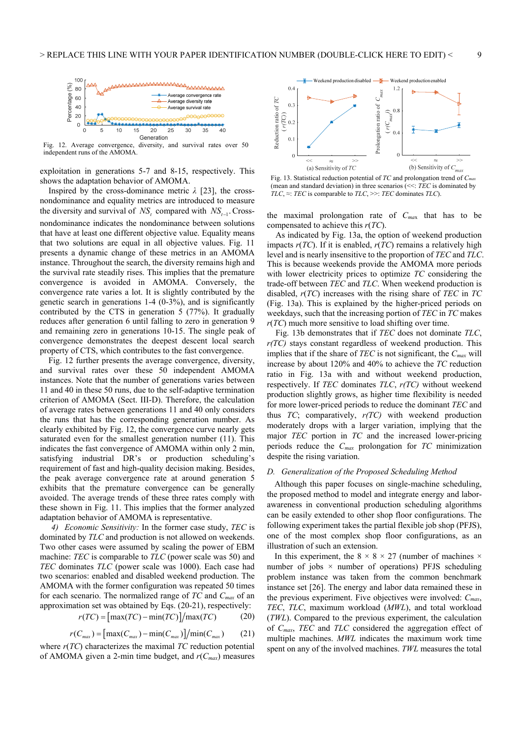

diversity, and survival rates over 50

exploitation in generations 5-7 and 8-15, respectively. This shows the adaptation behavior of AMOMA.

Inspired by the cross-dominance metric  $\lambda$  [23], the crossnondominance and equality metrics are introduced to measure the diversity and survival of  $NS$ , compared with  $NS$ <sub>t-1</sub>. Crossnondominance indicates the nondominance between solutions that have at least one different objective value. Equality means that two solutions are equal in all objective values. Fig. 11 presents a dynamic change of these metrics in an AMOMA instance. Throughout the search, the diversity remains high and the survival rate steadily rises. This implies that the premature convergence is avoided in AMOMA. Conversely, the convergence rate varies a lot. It is slightly contributed by the genetic search in generations 1-4 (0-3%), and is significantly contributed by the CTS in generation 5 (77%). It gradually reduces after generation 6 until falling to zero in generation 9 and remaining zero in generations 10-15. The single peak of convergence demonstrates the deepest descent local search property of CTS, which contributes to the fast convergence.

 Fig. 12 further presents the average convergence, diversity, and survival rates over these 50 independent AMOMA instances. Note that the number of generations varies between 11 and 40 in these 50 runs, due to the self-adaptive termination criterion of AMOMA (Sect. III-D). Therefore, the calculation of average rates between generations 11 and 40 only considers the runs that has the corresponding generation number. As clearly exhibited by Fig. 12, the convergence curve nearly gets saturated even for the smallest generation number (11). This indicates the fast convergence of AMOMA within only 2 min, satisfying industrial DR's or production scheduling's requirement of fast and high-quality decision making. Besides, the peak average convergence rate at around generation 5 exhibits that the premature convergence can be generally avoided. The average trends of these three rates comply with these shown in Fig. 11. This implies that the former analyzed adaptation behavior of AMOMA is representative.

*4) Economic Sensitivity:* In the former case study, *TEC* is dominated by *TLC* and production is not allowed on weekends. Two other cases were assumed by scaling the power of EBM machine: *TEC* is comparable to *TLC* (power scale was 50) and *TEC* dominates *TLC* (power scale was 1000). Each case had two scenarios: enabled and disabled weekend production. The AMOMA with the former configuration was repeated 50 times for each scenario. The normalized range of *TC* and *Cmax* of an approximation set was obtained by Eqs. (20-21), respectively:

$$
r(TC) = \frac{\left[\max(TC) - \min(TC)\right]}{\max(TC)}
$$
 (20)

$$
r(C_{\text{max}}) = \left[\max(C_{\text{max}}) - \min(C_{\text{max}})\right] / \min(C_{\text{max}}) \tag{21}
$$

where *r*(*TC*) characterizes the maximal *TC* reduction potential of AMOMA given a 2-min time budget, and *r*(*Cmax*) measures



Fig. 13. Statistical reduction potential of *TC* and prolongation trend of *Cmax* (mean and standard deviation) in three scenarios (<<: *TEC* is dominated by

the maximal prolongation rate of *Cma*x that has to be compensated to achieve this *r*(*TC*).

As indicated by Fig. 13a, the option of weekend production impacts *r*(*TC*). If it is enabled, *r*(*TC*) remains a relatively high level and is nearly insensitive to the proportion of *TEC* and *TLC*. This is because weekends provide the AMOMA more periods with lower electricity prices to optimize *TC* considering the trade-off between *TEC* and *TLC*. When weekend production is disabled, *r*(*TC*) increases with the rising share of *TEC* in *TC*  (Fig. 13a). This is explained by the higher-priced periods on weekdays, such that the increasing portion of *TEC* in *TC* makes *r*(*TC*) much more sensitive to load shifting over time.

Fig. 13b demonstrates that if *TEC* does not dominate *TLC*, *r(TC)* stays constant regardless of weekend production. This implies that if the share of *TEC* is not significant, the *Cmax* will increase by about 120% and 40% to achieve the *TC* reduction ratio in Fig. 13a with and without weekend production, respectively. If *TEC* dominates *TLC*, *r(TC)* without weekend production slightly grows, as higher time flexibility is needed for more lower-priced periods to reduce the dominant *TEC* and thus *TC*; comparatively, *r(TC)* with weekend production moderately drops with a larger variation, implying that the major *TEC* portion in *TC* and the increased lower-pricing periods reduce the *Cmax* prolongation for *TC* minimization despite the rising variation.

#### *D. Generalization of the Proposed Scheduling Method*

Although this paper focuses on single-machine scheduling, the proposed method to model and integrate energy and laborawareness in conventional production scheduling algorithms can be easily extended to other shop floor configurations. The following experiment takes the partial flexible job shop (PFJS), one of the most complex shop floor configurations, as an illustration of such an extension.

In this experiment, the  $8 \times 8 \times 27$  (number of machines  $\times$ number of jobs  $\times$  number of operations) PFJS scheduling problem instance was taken from the common benchmark instance set [26]. The energy and labor data remained these in the previous experiment. Five objectives were involved: *Cmax*, *TEC*, *TLC*, maximum workload (*MWL*), and total workload (*TWL*). Compared to the previous experiment, the calculation of *Cmax*, *TEC* and *TLC* considered the aggregation effect of multiple machines. *MWL* indicates the maximum work time spent on any of the involved machines. *TWL* measures the total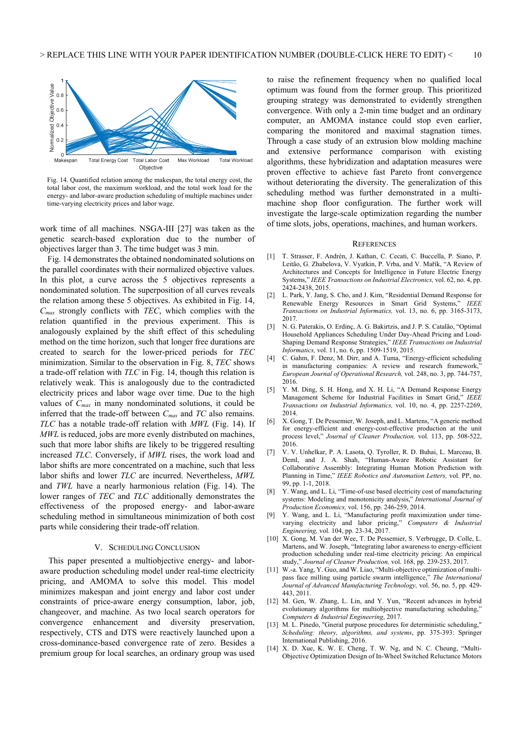

Fig. 14. Quantified relation among the makespan, the total energy cost, the total labor cost, the maximum workload, and the total work load for the energy- and labor-aware production scheduling of multiple machines under

work time of all machines. NSGA-III [27] was taken as the genetic search-based exploration due to the number of objectives larger than 3. The time budget was 3 min.

Fig. 14 demonstrates the obtained nondominated solutions on the parallel coordinates with their normalized objective values. In this plot, a curve across the 5 objectives represents a nondominated solution. The superposition of all curves reveals the relation among these 5 objectives. As exhibited in Fig. 14, *Cmax* strongly conflicts with *TEC*, which complies with the relation quantified in the previous experiment. This is analogously explained by the shift effect of this scheduling method on the time horizon, such that longer free durations are created to search for the lower-priced periods for *TEC* minimization. Similar to the observation in Fig. 8, *TEC* shows a trade-off relation with *TLC* in Fig. 14, though this relation is relatively weak. This is analogously due to the contradicted electricity prices and labor wage over time. Due to the high values of *Cmax* in many nondominated solutions, it could be inferred that the trade-off between *Cmax* and *TC* also remains. *TLC* has a notable trade-off relation with *MWL* (Fig. 14). If *MWL* is reduced, jobs are more evenly distributed on machines, such that more labor shifts are likely to be triggered resulting increased *TLC*. Conversely, if *MWL* rises, the work load and labor shifts are more concentrated on a machine, such that less labor shifts and lower *TLC* are incurred. Nevertheless, *MWL* and *TWL* have a nearly harmonious relation (Fig. 14). The lower ranges of *TEC* and *TLC* additionally demonstrates the effectiveness of the proposed energy- and labor-aware scheduling method in simultaneous minimization of both cost parts while considering their trade-off relation.

### V. SCHEDULING CONCLUSION

This paper presented a multiobjective energy- and laboraware production scheduling model under real-time electricity pricing, and AMOMA to solve this model. This model minimizes makespan and joint energy and labor cost under constraints of price-aware energy consumption, labor, job, changeover, and machine. As two local search operators for convergence enhancement and diversity preservation, respectively, CTS and DTS were reactively launched upon a cross-dominance-based convergence rate of zero. Besides a premium group for local searches, an ordinary group was used to raise the refinement frequency when no qualified local optimum was found from the former group. This prioritized grouping strategy was demonstrated to evidently strengthen convergence. With only a 2-min time budget and an ordinary computer, an AMOMA instance could stop even earlier, comparing the monitored and maximal stagnation times. Through a case study of an extrusion blow molding machine and extensive performance comparison with existing algorithms, these hybridization and adaptation measures were proven effective to achieve fast Pareto front convergence without deteriorating the diversity. The generalization of this scheduling method was further demonstrated in a multimachine shop floor configuration. The further work will investigate the large-scale optimization regarding the number of time slots, jobs, operations, machines, and human workers.

#### **REFERENCES**

- [1] T. Strasser, F. Andrén, J. Kathan, C. Cecati, C. Buccella, P. Siano, P. Leitão, G. Zhabelova, V. Vyatkin, P. Vrba, and V. Mařík, "A Review of Architectures and Concepts for Intelligence in Future Electric Energy Systems," *IEEE Transactions on Industrial Electronics,* vol. 62, no. 4, pp. 2424-2438, 2015.
- [2] L. Park, Y. Jang, S. Cho, and J. Kim, "Residential Demand Response for Renewable Energy Resources in Smart Grid Systems," *IEEE Transactions on Industrial Informatics,* vol. 13, no. 6, pp. 3165-3173, 2017.
- [3] N. G. Paterakis, O. Erdinç, A. G. Bakirtzis, and J. P. S. Catalão, "Optimal Household Appliances Scheduling Under Day-Ahead Pricing and Load-Shaping Demand Response Strategies," *IEEE Transactions on Industrial Informatics,* vol. 11, no. 6, pp. 1509-1519, 2015.
- [4] C. Gahm, F. Denz, M. Dirr, and A. Tuma, "Energy-efficient scheduling in manufacturing companies: A review and research framework,' *European Journal of Operational Research,* vol. 248, no. 3, pp. 744-757, 2016.
- [5] Y. M. Ding, S. H. Hong, and X. H. Li, "A Demand Response Energy Management Scheme for Industrial Facilities in Smart Grid," *IEEE Transactions on Industrial Informatics,* vol. 10, no. 4, pp. 2257-2269, 2014.
- [6] X. Gong, T. De Pessemier, W. Joseph, and L. Martens, "A generic method for energy-efficient and energy-cost-effective production at the unit process level," *Journal of Cleaner Production,* vol. 113, pp. 508-522, 2016.
- [7] V. V. Unhelkar, P. A. Lasota, Q. Tyroller, R. D. Buhai, L. Marceau, B. Deml, and J. A. Shah, "Human-Aware Robotic Assistant for Collaborative Assembly: Integrating Human Motion Prediction with Planning in Time," *IEEE Robotics and Automation Letters,* vol. PP, no. 99, pp. 1-1, 2018.
- [8] Y. Wang, and L. Li, "Time-of-use based electricity cost of manufacturing systems: Modeling and monotonicity analysis," *International Journal of Production Economics,* vol. 156, pp. 246-259, 2014.
- [9] Y. Wang, and L. Li, "Manufacturing profit maximization under timevarying electricity and labor pricing," *Computers & Industrial Engineering,* vol. 104, pp. 23-34, 2017.
- [10] X. Gong, M. Van der Wee, T. De Pessemier, S. Verbrugge, D. Colle, L. Martens, and W. Joseph, "Integrating labor awareness to energy-efficient production scheduling under real-time electricity pricing: An empirical study," *Journal of Cleaner Production,* vol. 168, pp. 239-253, 2017.
- [11] W.-a. Yang, Y. Guo, and W. Liao, "Multi-objective optimization of multipass face milling using particle swarm intelligence," *The International Journal of Advanced Manufacturing Technology,* vol. 56, no. 5, pp. 429- 443, 2011.
- [12] M. Gen, W. Zhang, L. Lin, and Y. Yun, "Recent advances in hybrid evolutionary algorithms for multiobjective manufacturing scheduling," *Computers & Industrial Engineering*, 2017.
- [13] M. L. Pinedo, "Gneral purpose procedures for deterministic scheduling," *Scheduling: theory, algorithms, and systems*, pp. 375-393: Springer International Publishing, 2016.
- [14] X. D. Xue, K. W. E. Cheng, T. W. Ng, and N. C. Cheung, "Multi-Objective Optimization Design of In-Wheel Switched Reluctance Motors